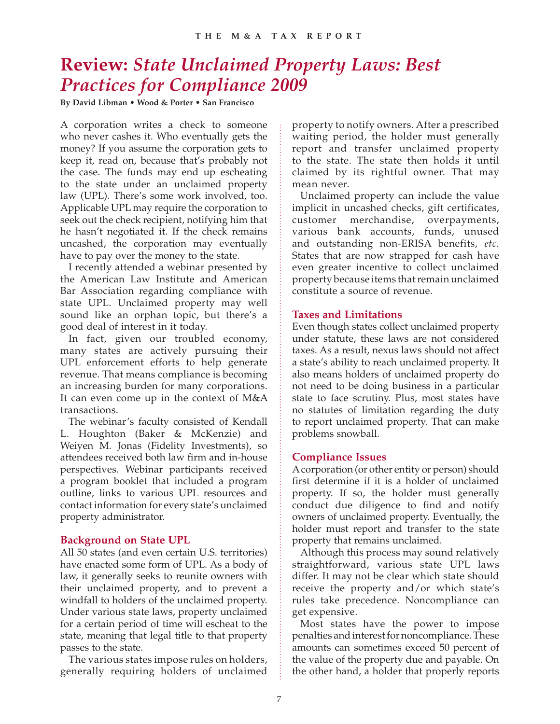# **Review:** *State Unclaimed Property Laws: Best Practices for Compliance 2009*

**By David Libman • Wood & Porter • San Francisco**

A corporation writes a check to someone who never cashes it. Who eventually gets the money? If you assume the corporation gets to keep it, read on, because that's probably not the case. The funds may end up escheating to the state under an unclaimed property law (UPL). There's some work involved, too. Applicable UPL may require the corporation to seek out the check recipient, notifying him that he hasn't negotiated it. If the check remains uncashed, the corporation may eventually have to pay over the money to the state.

I recently attended a webinar presented by the American Law Institute and American Bar Association regarding compliance with state UPL. Unclaimed property may well sound like an orphan topic, but there's a good deal of interest in it today.

In fact, given our troubled economy, many states are actively pursuing their UPL enforcement efforts to help generate revenue. That means compliance is becoming an increasing burden for many corporations. It can even come up in the context of M&A transactions.

The webinar's faculty consisted of Kendall L. Houghton (Baker & McKenzie) and Weiyen M. Jonas (Fidelity Investments), so attendees received both law firm and in-house perspectives. Webinar participants received a program booklet that included a program outline, links to various UPL resources and contact information for every state's unclaimed property administrator.

# **Background on State UPL**

All 50 states (and even certain U.S. territories) have enacted some form of UPL. As a body of law, it generally seeks to reunite owners with their unclaimed property, and to prevent a windfall to holders of the unclaimed property. Under various state laws, property unclaimed for a certain period of time will escheat to the state, meaning that legal title to that property passes to the state.

The various states impose rules on holders, generally requiring holders of unclaimed

property to notify owners. After a prescribed waiting period, the holder must generally report and transfer unclaimed property to the state. The state then holds it until claimed by its rightful owner. That may mean never.

Unclaimed property can include the value implicit in uncashed checks, gift certificates, customer merchandise, overpayments, various bank accounts, funds, unused and outstanding non-ERISA benefits, *etc.* States that are now strapped for cash have even greater incentive to collect unclaimed property because items that remain unclaimed constitute a source of revenue.

### **Taxes and Limitations**

Even though states collect unclaimed property under statute, these laws are not considered taxes. As a result, nexus laws should not affect a state's ability to reach unclaimed property. It also means holders of unclaimed property do not need to be doing business in a particular state to face scrutiny. Plus, most states have no statutes of limitation regarding the duty to report unclaimed property. That can make problems snowball.

# **Compliance Issues**

A corporation (or other entity or person) should first determine if it is a holder of unclaimed property. If so, the holder must generally conduct due diligence to find and notify owners of unclaimed property. Eventually, the holder must report and transfer to the state property that remains unclaimed.

Although this process may sound relatively straightforward, various state UPL laws differ. It may not be clear which state should receive the property and/or which state's rules take precedence. Noncompliance can get expensive.

Most states have the power to impose penalties and interest for noncompliance. These amounts can sometimes exceed 50 percent of the value of the property due and payable. On the other hand, a holder that properly reports